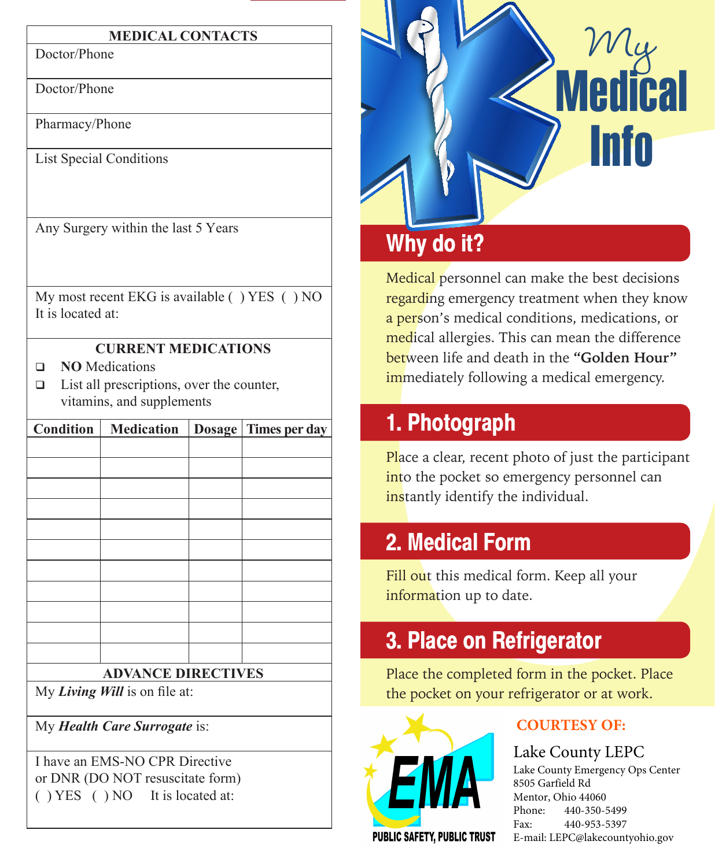#### **MEDICAL CONTACTS**

Doctor/Phone

Doctor/Phone

Pharmacy/Phone

List Special Conditions

Any Surgery within the last 5 Years

My most recent EKG is available ( ) YES ( ) NO It is located at:

#### **CURRENT MEDICATIONS**

- **NO** Medications
- $\Box$  List all prescriptions, over the counter, vitamins, and supplements

| <b>Condition</b>          | <b>Medication</b> | <b>Dosage</b> | Times per day |
|---------------------------|-------------------|---------------|---------------|
|                           |                   |               |               |
|                           |                   |               |               |
|                           |                   |               |               |
|                           |                   |               |               |
|                           |                   |               |               |
|                           |                   |               |               |
|                           |                   |               |               |
|                           |                   |               |               |
|                           |                   |               |               |
|                           |                   |               |               |
|                           |                   |               |               |
| <b>ADVANCE DIRECTIVES</b> |                   |               |               |

My *Living Will* is on file at:

My *Health Care Surrogate* is:

I have an EMS-NO CPR Directive or DNR (DO NOT resuscitate form) ( ) YES ( ) NO It is located at:



## **Why do it?**

Medical personnel can make the best decisions regarding emergency treatment when they know a person's medical conditions, medications, or medical allergies. This can mean the difference between life and death in the **"Golden Hour" immediately following a medical emergency.** 

## **1. Photograph**

Place a clear, recent photo of just the participant into the pocket so emergency personnel can instantly identify the individual.

### **2. Medical Form**

Fill out this medical form. Keep all your information up to date.

# **3. Place on Refrigerator**

Place the completed form in the pocket. Place the pocket on your refrigerator or at work.



#### **COURTESY OF:**

Lake County LEPC Lake County Emergency Ops Center 8505 Garfield Rd Mentor, Ohio 44060 Phone: 440-350-5499 Fax: 440-953-5397 E-mail: LEPC@lakecountyohio.gov